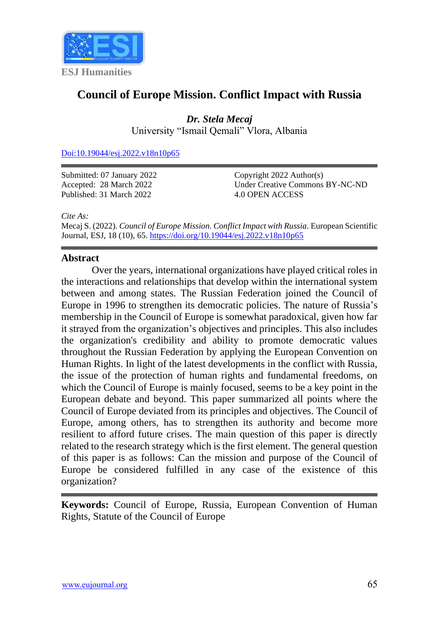

# **Council of Europe Mission. Conflict Impact with Russia**

*Dr. Stela Mecaj* University "Ismail Qemali" Vlora, Albania

[Doi:10.19044/esj.2022.v18n10p65](https://doi.org/10.19044/esj.2022.v18n10p65)

Submitted: 07 January 2022 Accepted: 28 March 2022 Published: 31 March 2022

Copyright 2022 Author(s) Under Creative Commons BY-NC-ND 4.0 OPEN ACCESS

*Cite As:*

Mecaj S. (2022). *Council of Europe Mission. Conflict Impact with Russia.* European Scientific Journal, ESJ, 18 (10), 65. <https://doi.org/10.19044/esj.2022.v18n10p65>

## **Abstract**

Over the years, international organizations have played critical roles in the interactions and relationships that develop within the international system between and among states. The Russian Federation joined the Council of Europe in 1996 to strengthen its democratic policies. The nature of Russia's membership in the Council of Europe is somewhat paradoxical, given how far it strayed from the organization's objectives and principles. This also includes the organization's credibility and ability to promote democratic values throughout the Russian Federation by applying the European Convention on Human Rights. In light of the latest developments in the conflict with Russia, the issue of the protection of human rights and fundamental freedoms, on which the Council of Europe is mainly focused, seems to be a key point in the European debate and beyond. This paper summarized all points where the Council of Europe deviated from its principles and objectives. The Council of Europe, among others, has to strengthen its authority and become more resilient to afford future crises. The main question of this paper is directly related to the research strategy which is the first element. The general question of this paper is as follows: Can the mission and purpose of the Council of Europe be considered fulfilled in any case of the existence of this organization?

**Keywords:** Council of Europe, Russia, European Convention of Human Rights, Statute of the Council of Europe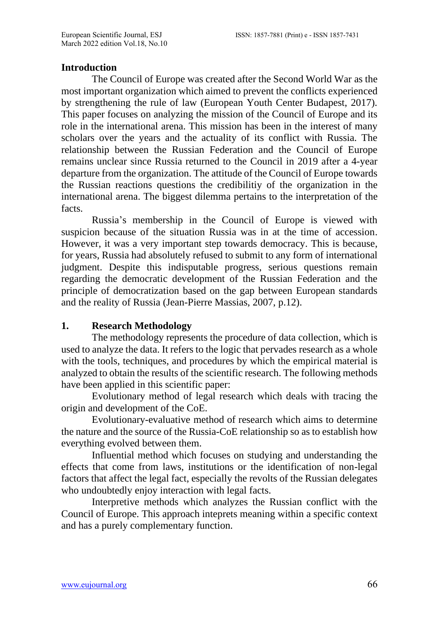#### **Introduction**

The Council of Europe was created after the Second World War as the most important organization which aimed to prevent the conflicts experienced by strengthening the rule of law (European Youth Center Budapest, 2017). This paper focuses on analyzing the mission of the Council of Europe and its role in the international arena. This mission has been in the interest of many scholars over the years and the actuality of its conflict with Russia. The relationship between the Russian Federation and the Council of Europe remains unclear since Russia returned to the Council in 2019 after a 4-year departure from the organization. The attitude of the Council of Europe towards the Russian reactions questions the credibilitiy of the organization in the international arena. The biggest dilemma pertains to the interpretation of the facts.

Russia's membership in the Council of Europe is viewed with suspicion because of the situation Russia was in at the time of accession. However, it was a very important step towards democracy. This is because, for years, Russia had absolutely refused to submit to any form of international judgment. Despite this indisputable progress, serious questions remain regarding the democratic development of the Russian Federation and the principle of democratization based on the gap between European standards and the reality of Russia (Jean-Pierre Massias, 2007, p.12).

## **1. Research Methodology**

The methodology represents the procedure of data collection, which is used to analyze the data. It refers to the logic that pervades research as a whole with the tools, techniques, and procedures by which the empirical material is analyzed to obtain the results of the scientific research. The following methods have been applied in this scientific paper:

Evolutionary method of legal research which deals with tracing the origin and development of the CoE.

Evolutionary-evaluative method of research which aims to determine the nature and the source of the Russia-CoE relationship so as to establish how everything evolved between them.

Influential method which focuses on studying and understanding the effects that come from laws, institutions or the identification of non-legal factors that affect the legal fact, especially the revolts of the Russian delegates who undoubtedly enjoy interaction with legal facts.

Interpretive methods which analyzes the Russian conflict with the Council of Europe. This approach inteprets meaning within a specific context and has a purely complementary function.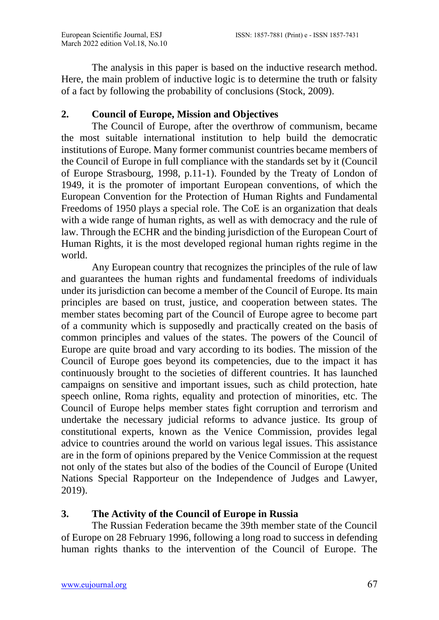The analysis in this paper is based on the inductive research method. Here, the main problem of inductive logic is to determine the truth or falsity of a fact by following the probability of conclusions (Stock, 2009).

# **2. Council of Europe, Mission and Objectives**

The Council of Europe, after the overthrow of communism, became the most suitable international institution to help build the democratic institutions of Europe. Many former communist countries became members of the Council of Europe in full compliance with the standards set by it (Council of Europe Strasbourg, 1998, p.11-1). Founded by the Treaty of London of 1949, it is the promoter of important European conventions, of which the European Convention for the Protection of Human Rights and Fundamental Freedoms of 1950 plays a special role. The CoE is an organization that deals with a wide range of human rights, as well as with democracy and the rule of law. Through the ECHR and the binding jurisdiction of the European Court of Human Rights, it is the most developed regional human rights regime in the world.

Any European country that recognizes the principles of the rule of law and guarantees the human rights and fundamental freedoms of individuals under its jurisdiction can become a member of the Council of Europe. Its main principles are based on trust, justice, and cooperation between states. The member states becoming part of the Council of Europe agree to become part of a community which is supposedly and practically created on the basis of common principles and values of the states. The powers of the Council of Europe are quite broad and vary according to its bodies. The mission of the Council of Europe goes beyond its competencies, due to the impact it has continuously brought to the societies of different countries. It has launched campaigns on sensitive and important issues, such as child protection, hate speech online, Roma rights, equality and protection of minorities, etc. The Council of Europe helps member states fight corruption and terrorism and undertake the necessary judicial reforms to advance justice. Its group of constitutional experts, known as the Venice Commission, provides legal advice to countries around the world on various legal issues. This assistance are in the form of opinions prepared by the Venice Commission at the request not only of the states but also of the bodies of the Council of Europe (United Nations Special Rapporteur on the Independence of Judges and Lawyer, 2019).

# **3. The Activity of the Council of Europe in Russia**

The Russian Federation became the 39th member state of the Council of Europe on 28 February 1996, following a long road to success in defending human rights thanks to the intervention of the Council of Europe. The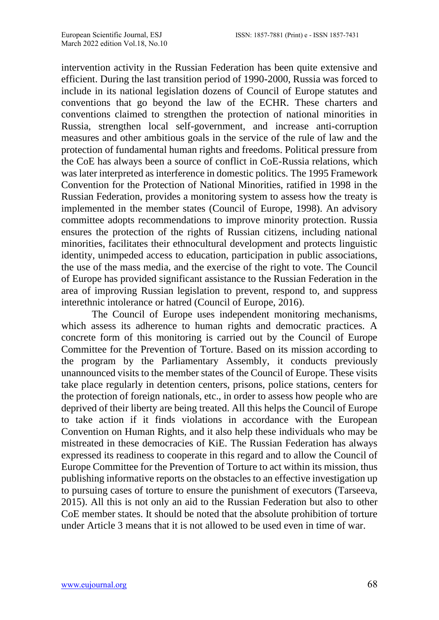intervention activity in the Russian Federation has been quite extensive and efficient. During the last transition period of 1990-2000, Russia was forced to include in its national legislation dozens of Council of Europe statutes and conventions that go beyond the law of the ECHR. These charters and conventions claimed to strengthen the protection of national minorities in Russia, strengthen local self-government, and increase anti-corruption measures and other ambitious goals in the service of the rule of law and the protection of fundamental human rights and freedoms. Political pressure from the CoE has always been a source of conflict in CoE-Russia relations, which was later interpreted as interference in domestic politics. The 1995 Framework Convention for the Protection of National Minorities, ratified in 1998 in the Russian Federation, provides a monitoring system to assess how the treaty is implemented in the member states (Council of Europe, 1998). An advisory committee adopts recommendations to improve minority protection. Russia ensures the protection of the rights of Russian citizens, including national minorities, facilitates their ethnocultural development and protects linguistic identity, unimpeded access to education, participation in public associations, the use of the mass media, and the exercise of the right to vote. The Council of Europe has provided significant assistance to the Russian Federation in the area of improving Russian legislation to prevent, respond to, and suppress interethnic intolerance or hatred (Council of Europe, 2016).

The Council of Europe uses independent monitoring mechanisms, which assess its adherence to human rights and democratic practices. A concrete form of this monitoring is carried out by the Council of Europe Committee for the Prevention of Torture. Based on its mission according to the program by the Parliamentary Assembly, it conducts previously unannounced visits to the member states of the Council of Europe. These visits take place regularly in detention centers, prisons, police stations, centers for the protection of foreign nationals, etc., in order to assess how people who are deprived of their liberty are being treated. All this helps the Council of Europe to take action if it finds violations in accordance with the European Convention on Human Rights, and it also help these individuals who may be mistreated in these democracies of KiE. The Russian Federation has always expressed its readiness to cooperate in this regard and to allow the Council of Europe Committee for the Prevention of Torture to act within its mission, thus publishing informative reports on the obstacles to an effective investigation up to pursuing cases of torture to ensure the punishment of executors (Tarseeva, 2015). All this is not only an aid to the Russian Federation but also to other CoE member states. It should be noted that the absolute prohibition of torture under Article 3 means that it is not allowed to be used even in time of war.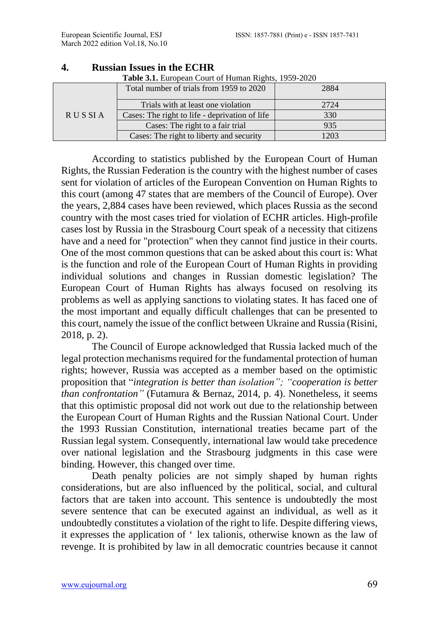| <b>RUSSIA</b> | Total number of trials from 1959 to 2020       | 2884 |
|---------------|------------------------------------------------|------|
|               | Trials with at least one violation             | 2724 |
|               | Cases: The right to life - deprivation of life | 330  |
|               | Cases: The right to a fair trial               | 935  |
|               | Cases: The right to liberty and security       | 203  |

#### **4. Russian Issues in the ECHR**

**Table 3.1.** European Court of Human Rights, 1959-2020

According to statistics published by the European Court of Human Rights, the Russian Federation is the country with the highest number of cases sent for violation of articles of the European Convention on Human Rights to this court (among 47 states that are members of the Council of Europe). Over the years, 2,884 cases have been reviewed, which places Russia as the second country with the most cases tried for violation of ECHR articles. High-profile cases lost by Russia in the Strasbourg Court speak of a necessity that citizens have and a need for "protection" when they cannot find justice in their courts. One of the most common questions that can be asked about this court is: What is the function and role of the European Court of Human Rights in providing individual solutions and changes in Russian domestic legislation? The European Court of Human Rights has always focused on resolving its problems as well as applying sanctions to violating states. It has faced one of the most important and equally difficult challenges that can be presented to this court, namely the issue of the conflict between Ukraine and Russia (Risini, 2018, p. 2).

The Council of Europe acknowledged that Russia lacked much of the legal protection mechanisms required for the fundamental protection of human rights; however, Russia was accepted as a member based on the optimistic proposition that "*integration is better than isolation"; "cooperation is better than confrontation"* (Futamura & Bernaz, 2014, p. 4). Nonetheless, it seems that this optimistic proposal did not work out due to the relationship between the European Court of Human Rights and the Russian National Court. Under the 1993 Russian Constitution, international treaties became part of the Russian legal system. Consequently, international law would take precedence over national legislation and the Strasbourg judgments in this case were binding. However, this changed over time.

Death penalty policies are not simply shaped by human rights considerations, but are also influenced by the political, social, and cultural factors that are taken into account. This sentence is undoubtedly the most severe sentence that can be executed against an individual, as well as it undoubtedly constitutes a violation of the right to life. Despite differing views, it expresses the application of ' lex talionis, otherwise known as the law of revenge. It is prohibited by law in all democratic countries because it cannot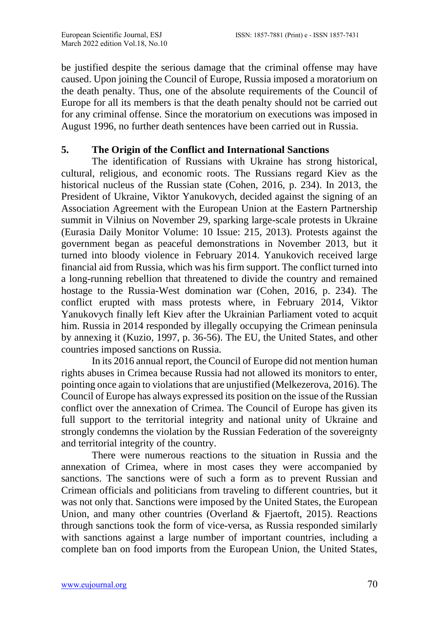be justified despite the serious damage that the criminal offense may have caused. Upon joining the Council of Europe, Russia imposed a moratorium on the death penalty. Thus, one of the absolute requirements of the Council of Europe for all its members is that the death penalty should not be carried out for any criminal offense. Since the moratorium on executions was imposed in August 1996, no further death sentences have been carried out in Russia.

# **5. The Origin of the Conflict and International Sanctions**

The identification of Russians with Ukraine has strong historical, cultural, religious, and economic roots. The Russians regard Kiev as the historical nucleus of the Russian state (Cohen, 2016, p. 234). In 2013, the President of Ukraine, Viktor Yanukovych, decided against the signing of an Association Agreement with the European Union at the Eastern Partnership summit in Vilnius on November 29, sparking large-scale protests in Ukraine (Eurasia Daily Monitor Volume: 10 Issue: 215, 2013). Protests against the government began as peaceful demonstrations in November 2013, but it turned into bloody violence in February 2014. Yanukovich received large financial aid from Russia, which was his firm support. The conflict turned into a long-running rebellion that threatened to divide the country and remained hostage to the Russia-West domination war (Cohen, 2016, p. 234). The conflict erupted with mass protests where, in February 2014, Viktor Yanukovych finally left Kiev after the Ukrainian Parliament voted to acquit him. Russia in 2014 responded by illegally occupying the Crimean peninsula by annexing it (Kuzio, 1997, p. 36-56). The EU, the United States, and other countries imposed sanctions on Russia.

In its 2016 annual report, the Council of Europe did not mention human rights abuses in Crimea because Russia had not allowed its monitors to enter, pointing once again to violations that are unjustified (Melkezerova, 2016). The Council of Europe has always expressed its position on the issue of the Russian conflict over the annexation of Crimea. The Council of Europe has given its full support to the territorial integrity and national unity of Ukraine and strongly condemns the violation by the Russian Federation of the sovereignty and territorial integrity of the country.

There were numerous reactions to the situation in Russia and the annexation of Crimea, where in most cases they were accompanied by sanctions. The sanctions were of such a form as to prevent Russian and Crimean officials and politicians from traveling to different countries, but it was not only that. Sanctions were imposed by the United States, the European Union, and many other countries (Overland & Fjaertoft, 2015). Reactions through sanctions took the form of vice-versa, as Russia responded similarly with sanctions against a large number of important countries, including a complete ban on food imports from the European Union, the United States,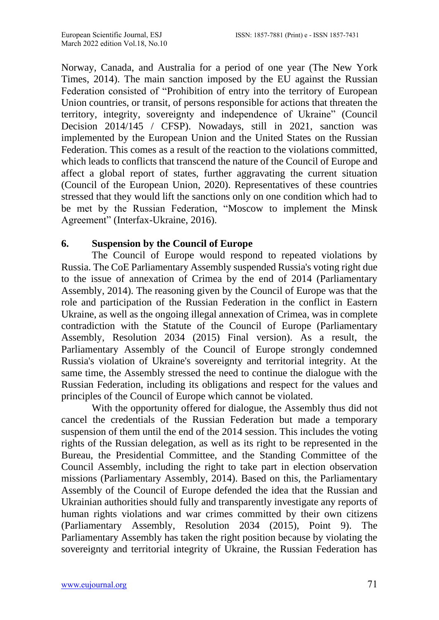Norway, Canada, and Australia for a period of one year (The New York Times, 2014). The main sanction imposed by the EU against the Russian Federation consisted of "Prohibition of entry into the territory of European Union countries, or transit, of persons responsible for actions that threaten the territory, integrity, sovereignty and independence of Ukraine" (Council Decision 2014/145 / CFSP). Nowadays, still in 2021, sanction was implemented by the European Union and the United States on the Russian Federation. This comes as a result of the reaction to the violations committed, which leads to conflicts that transcend the nature of the Council of Europe and affect a global report of states, further aggravating the current situation (Council of the European Union, 2020). Representatives of these countries stressed that they would lift the sanctions only on one condition which had to be met by the Russian Federation, "Moscow to implement the Minsk Agreement" (Interfax-Ukraine, 2016).

# **6. Suspension by the Council of Europe**

The Council of Europe would respond to repeated violations by Russia. The CoE Parliamentary Assembly suspended Russia's voting right due to the issue of annexation of Crimea by the end of 2014 (Parliamentary Assembly, 2014). The reasoning given by the Council of Europe was that the role and participation of the Russian Federation in the conflict in Eastern Ukraine, as well as the ongoing illegal annexation of Crimea, was in complete contradiction with the Statute of the Council of Europe (Parliamentary Assembly, Resolution 2034 (2015) Final version). As a result, the Parliamentary Assembly of the Council of Europe strongly condemned Russia's violation of Ukraine's sovereignty and territorial integrity. At the same time, the Assembly stressed the need to continue the dialogue with the Russian Federation, including its obligations and respect for the values and principles of the Council of Europe which cannot be violated.

With the opportunity offered for dialogue, the Assembly thus did not cancel the credentials of the Russian Federation but made a temporary suspension of them until the end of the 2014 session. This includes the voting rights of the Russian delegation, as well as its right to be represented in the Bureau, the Presidential Committee, and the Standing Committee of the Council Assembly, including the right to take part in election observation missions (Parliamentary Assembly, 2014). Based on this, the Parliamentary Assembly of the Council of Europe defended the idea that the Russian and Ukrainian authorities should fully and transparently investigate any reports of human rights violations and war crimes committed by their own citizens (Parliamentary Assembly, Resolution 2034 (2015), Point 9). The Parliamentary Assembly has taken the right position because by violating the sovereignty and territorial integrity of Ukraine, the Russian Federation has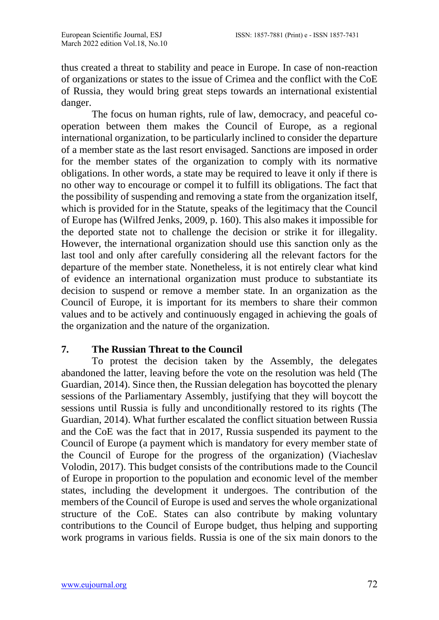thus created a threat to stability and peace in Europe. In case of non-reaction of organizations or states to the issue of Crimea and the conflict with the CoE of Russia, they would bring great steps towards an international existential danger.

The focus on human rights, rule of law, democracy, and peaceful cooperation between them makes the Council of Europe, as a regional international organization, to be particularly inclined to consider the departure of a member state as the last resort envisaged. Sanctions are imposed in order for the member states of the organization to comply with its normative obligations. In other words, a state may be required to leave it only if there is no other way to encourage or compel it to fulfill its obligations. The fact that the possibility of suspending and removing a state from the organization itself, which is provided for in the Statute, speaks of the legitimacy that the Council of Europe has (Wilfred Jenks, 2009, p. 160). This also makes it impossible for the deported state not to challenge the decision or strike it for illegality. However, the international organization should use this sanction only as the last tool and only after carefully considering all the relevant factors for the departure of the member state. Nonetheless, it is not entirely clear what kind of evidence an international organization must produce to substantiate its decision to suspend or remove a member state. In an organization as the Council of Europe, it is important for its members to share their common values and to be actively and continuously engaged in achieving the goals of the organization and the nature of the organization.

## **7. The Russian Threat to the Council**

To protest the decision taken by the Assembly, the delegates abandoned the latter, leaving before the vote on the resolution was held (The Guardian, 2014). Since then, the Russian delegation has boycotted the plenary sessions of the Parliamentary Assembly, justifying that they will boycott the sessions until Russia is fully and unconditionally restored to its rights (The Guardian, 2014). What further escalated the conflict situation between Russia and the CoE was the fact that in 2017, Russia suspended its payment to the Council of Europe (a payment which is mandatory for every member state of the Council of Europe for the progress of the organization) (Viacheslav Volodin, 2017). This budget consists of the contributions made to the Council of Europe in proportion to the population and economic level of the member states, including the development it undergoes. The contribution of the members of the Council of Europe is used and serves the whole organizational structure of the CoE. States can also contribute by making voluntary contributions to the Council of Europe budget, thus helping and supporting work programs in various fields. Russia is one of the six main donors to the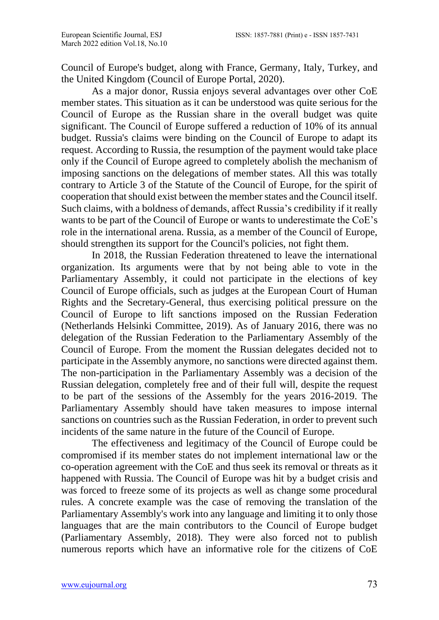Council of Europe's budget, along with France, Germany, Italy, Turkey, and the United Kingdom (Council of Europe Portal, 2020).

As a major donor, Russia enjoys several advantages over other CoE member states. This situation as it can be understood was quite serious for the Council of Europe as the Russian share in the overall budget was quite significant. The Council of Europe suffered a reduction of 10% of its annual budget. Russia's claims were binding on the Council of Europe to adapt its request. According to Russia, the resumption of the payment would take place only if the Council of Europe agreed to completely abolish the mechanism of imposing sanctions on the delegations of member states. All this was totally contrary to Article 3 of the Statute of the Council of Europe, for the spirit of cooperation that should exist between the member states and the Council itself. Such claims, with a boldness of demands, affect Russia's credibility if it really wants to be part of the Council of Europe or wants to underestimate the CoE's role in the international arena. Russia, as a member of the Council of Europe, should strengthen its support for the Council's policies, not fight them.

In 2018, the Russian Federation threatened to leave the international organization. Its arguments were that by not being able to vote in the Parliamentary Assembly, it could not participate in the elections of key Council of Europe officials, such as judges at the European Court of Human Rights and the Secretary-General, thus exercising political pressure on the Council of Europe to lift sanctions imposed on the Russian Federation (Netherlands Helsinki Committee, 2019). As of January 2016, there was no delegation of the Russian Federation to the Parliamentary Assembly of the Council of Europe. From the moment the Russian delegates decided not to participate in the Assembly anymore, no sanctions were directed against them. The non-participation in the Parliamentary Assembly was a decision of the Russian delegation, completely free and of their full will, despite the request to be part of the sessions of the Assembly for the years 2016-2019. The Parliamentary Assembly should have taken measures to impose internal sanctions on countries such as the Russian Federation, in order to prevent such incidents of the same nature in the future of the Council of Europe.

The effectiveness and legitimacy of the Council of Europe could be compromised if its member states do not implement international law or the co-operation agreement with the CoE and thus seek its removal or threats as it happened with Russia. The Council of Europe was hit by a budget crisis and was forced to freeze some of its projects as well as change some procedural rules. A concrete example was the case of removing the translation of the Parliamentary Assembly's work into any language and limiting it to only those languages that are the main contributors to the Council of Europe budget (Parliamentary Assembly, 2018). They were also forced not to publish numerous reports which have an informative role for the citizens of CoE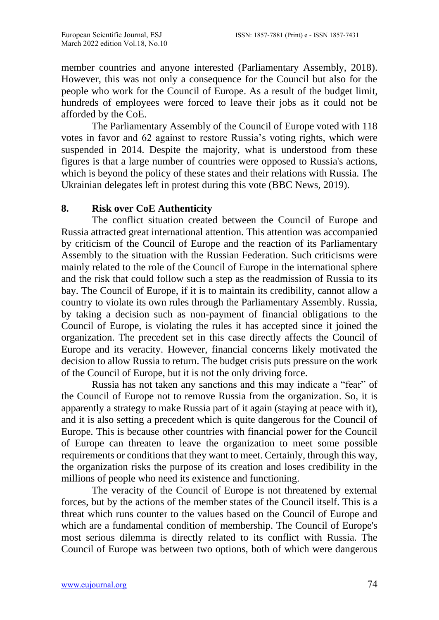member countries and anyone interested (Parliamentary Assembly, 2018). However, this was not only a consequence for the Council but also for the people who work for the Council of Europe. As a result of the budget limit, hundreds of employees were forced to leave their jobs as it could not be afforded by the CoE.

The Parliamentary Assembly of the Council of Europe voted with 118 votes in favor and 62 against to restore Russia's voting rights, which were suspended in 2014. Despite the majority, what is understood from these figures is that a large number of countries were opposed to Russia's actions, which is beyond the policy of these states and their relations with Russia. The Ukrainian delegates left in protest during this vote (BBC News, 2019).

## **8. Risk over CoE Authenticity**

The conflict situation created between the Council of Europe and Russia attracted great international attention. This attention was accompanied by criticism of the Council of Europe and the reaction of its Parliamentary Assembly to the situation with the Russian Federation. Such criticisms were mainly related to the role of the Council of Europe in the international sphere and the risk that could follow such a step as the readmission of Russia to its bay. The Council of Europe, if it is to maintain its credibility, cannot allow a country to violate its own rules through the Parliamentary Assembly. Russia, by taking a decision such as non-payment of financial obligations to the Council of Europe, is violating the rules it has accepted since it joined the organization. The precedent set in this case directly affects the Council of Europe and its veracity. However, financial concerns likely motivated the decision to allow Russia to return. The budget crisis puts pressure on the work of the Council of Europe, but it is not the only driving force.

Russia has not taken any sanctions and this may indicate a "fear" of the Council of Europe not to remove Russia from the organization. So, it is apparently a strategy to make Russia part of it again (staying at peace with it), and it is also setting a precedent which is quite dangerous for the Council of Europe. This is because other countries with financial power for the Council of Europe can threaten to leave the organization to meet some possible requirements or conditions that they want to meet. Certainly, through this way, the organization risks the purpose of its creation and loses credibility in the millions of people who need its existence and functioning.

The veracity of the Council of Europe is not threatened by external forces, but by the actions of the member states of the Council itself. This is a threat which runs counter to the values based on the Council of Europe and which are a fundamental condition of membership. The Council of Europe's most serious dilemma is directly related to its conflict with Russia. The Council of Europe was between two options, both of which were dangerous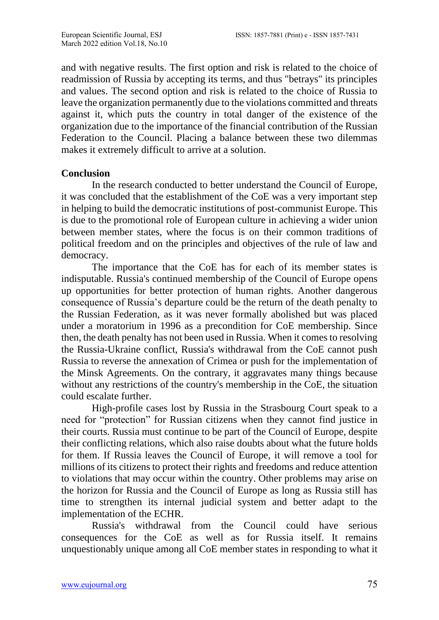and with negative results. The first option and risk is related to the choice of readmission of Russia by accepting its terms, and thus "betrays" its principles and values. The second option and risk is related to the choice of Russia to leave the organization permanently due to the violations committed and threats against it, which puts the country in total danger of the existence of the organization due to the importance of the financial contribution of the Russian Federation to the Council. Placing a balance between these two dilemmas makes it extremely difficult to arrive at a solution.

#### **Conclusion**

In the research conducted to better understand the Council of Europe, it was concluded that the establishment of the CoE was a very important step in helping to build the democratic institutions of post-communist Europe. This is due to the promotional role of European culture in achieving a wider union between member states, where the focus is on their common traditions of political freedom and on the principles and objectives of the rule of law and democracy.

The importance that the CoE has for each of its member states is indisputable. Russia's continued membership of the Council of Europe opens up opportunities for better protection of human rights. Another dangerous consequence of Russia's departure could be the return of the death penalty to the Russian Federation, as it was never formally abolished but was placed under a moratorium in 1996 as a precondition for CoE membership. Since then, the death penalty has not been used in Russia. When it comes to resolving the Russia-Ukraine conflict, Russia's withdrawal from the CoE cannot push Russia to reverse the annexation of Crimea or push for the implementation of the Minsk Agreements. On the contrary, it aggravates many things because without any restrictions of the country's membership in the CoE, the situation could escalate further.

High-profile cases lost by Russia in the Strasbourg Court speak to a need for "protection" for Russian citizens when they cannot find justice in their courts. Russia must continue to be part of the Council of Europe, despite their conflicting relations, which also raise doubts about what the future holds for them. If Russia leaves the Council of Europe, it will remove a tool for millions of its citizens to protect their rights and freedoms and reduce attention to violations that may occur within the country. Other problems may arise on the horizon for Russia and the Council of Europe as long as Russia still has time to strengthen its internal judicial system and better adapt to the implementation of the ECHR.

Russia's withdrawal from the Council could have serious consequences for the CoE as well as for Russia itself. It remains unquestionably unique among all CoE member states in responding to what it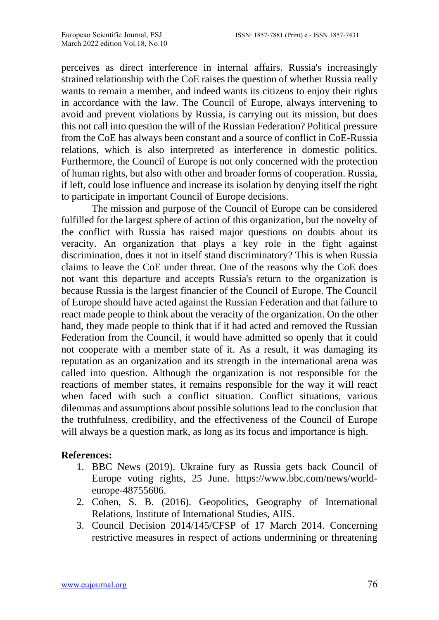perceives as direct interference in internal affairs. Russia's increasingly strained relationship with the CoE raises the question of whether Russia really wants to remain a member, and indeed wants its citizens to enjoy their rights in accordance with the law. The Council of Europe, always intervening to avoid and prevent violations by Russia, is carrying out its mission, but does this not call into question the will of the Russian Federation? Political pressure from the CoE has always been constant and a source of conflict in CoE-Russia relations, which is also interpreted as interference in domestic politics. Furthermore, the Council of Europe is not only concerned with the protection of human rights, but also with other and broader forms of cooperation. Russia, if left, could lose influence and increase its isolation by denying itself the right to participate in important Council of Europe decisions.

The mission and purpose of the Council of Europe can be considered fulfilled for the largest sphere of action of this organization, but the novelty of the conflict with Russia has raised major questions on doubts about its veracity. An organization that plays a key role in the fight against discrimination, does it not in itself stand discriminatory? This is when Russia claims to leave the CoE under threat. One of the reasons why the CoE does not want this departure and accepts Russia's return to the organization is because Russia is the largest financier of the Council of Europe. The Council of Europe should have acted against the Russian Federation and that failure to react made people to think about the veracity of the organization. On the other hand, they made people to think that if it had acted and removed the Russian Federation from the Council, it would have admitted so openly that it could not cooperate with a member state of it. As a result, it was damaging its reputation as an organization and its strength in the international arena was called into question. Although the organization is not responsible for the reactions of member states, it remains responsible for the way it will react when faced with such a conflict situation. Conflict situations, various dilemmas and assumptions about possible solutions lead to the conclusion that the truthfulness, credibility, and the effectiveness of the Council of Europe will always be a question mark, as long as its focus and importance is high.

## **References:**

- 1. BBC News (2019). Ukraine fury as Russia gets back Council of Europe voting rights, 25 June. [https://www.bbc.com/news/world](https://www.bbc.com/news/world-europe-48755606)[europe-48755606.](https://www.bbc.com/news/world-europe-48755606)
- 2. Cohen, S. B. (2016). Geopolitics, Geography of International Relations, Institute of International Studies, AIIS.
- 3. Council Decision 2014/145/CFSP of 17 March 2014. Concerning restrictive measures in respect of actions undermining or threatening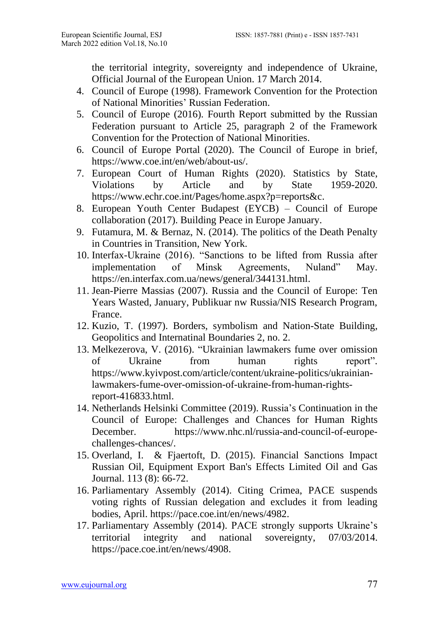the territorial integrity, sovereignty and independence of Ukraine, Official Journal of the European Union. 17 March 2014.

- 4. Council of Europe (1998). Framework Convention for the Protection of National Minorities' Russian Federation.
- 5. Council of Europe (2016). Fourth Report submitted by the Russian Federation pursuant to Article 25, paragraph 2 of the Framework Convention for the Protection of National Minorities.
- 6. Council of Europe Portal (2020). The Council of Europe in brief, [https://www.coe.int/en/web/about-us/.](https://www.coe.int/en/web/about-us/)
- 7. European Court of Human Rights (2020). Statistics by State, Violations by Article and by State 1959-2020. [https://www.echr.coe.int/Pages/home.aspx?p=reports&c.](https://www.echr.coe.int/Pages/home.aspx?p=reports&c)
- 8. European Youth Center Budapest (EYCB) Council of Europe collaboration (2017). Building Peace in Europe January.
- 9. Futamura, M. & Bernaz, N. (2014). The politics of the Death Penalty in Countries in Transition, New York.
- 10. Interfax-Ukraine (2016). "Sanctions to be lifted from Russia after implementation of Minsk Agreements, Nuland" May. [https://en.interfax.com.ua/news/general/344131.html.](https://en.interfax.com.ua/news/general/344131.html)
- 11. Jean-Pierre Massias (2007). Russia and the Council of Europe: Ten Years Wasted, January, Publikuar nw Russia/NIS Research Program, France.
- 12. Kuzio, T. (1997). Borders, symbolism and Nation-State Building, Geopolitics and Internatinal Boundaries 2, no. 2.
- 13. Melkezerova, V. (2016). "Ukrainian lawmakers fume over omission of Ukraine from human rights report". [https://www.kyivpost.com/article/content/ukraine-politics/ukrainian](https://www.kyivpost.com/article/content/ukraine-politics/ukrainian-lawmakers-fume-over-omission-of-ukraine-from-human-rights-report-416833.html)[lawmakers-fume-over-omission-of-ukraine-from-human-rights](https://www.kyivpost.com/article/content/ukraine-politics/ukrainian-lawmakers-fume-over-omission-of-ukraine-from-human-rights-report-416833.html)[report-416833.html.](https://www.kyivpost.com/article/content/ukraine-politics/ukrainian-lawmakers-fume-over-omission-of-ukraine-from-human-rights-report-416833.html)
- 14. Netherlands Helsinki Committee (2019). Russia's Continuation in the Council of Europe: Challenges and Chances for Human Rights December. [https://www.nhc.nl/russia-and-council-of-europe](https://www.nhc.nl/russia-and-council-of-europe-challenges-chances/)[challenges-chances/.](https://www.nhc.nl/russia-and-council-of-europe-challenges-chances/)
- 15. Overland, I. & Fjaertoft, D. (2015). Financial Sanctions Impact Russian Oil, Equipment Export Ban's Effects Limited Oil and Gas Journal. 113 (8): 66-72.
- 16. Parliamentary Assembly (2014). Citing Crimea, PACE suspends voting rights of Russian delegation and excludes it from leading bodies, April. [https://pace.coe.int/en/news/4982.](https://pace.coe.int/en/news/4982)
- 17. Parliamentary Assembly (2014). PACE strongly supports Ukraine's territorial integrity and national sovereignty, 07/03/2014. [https://pace.coe.int/en/news/4908.](https://pace.coe.int/en/news/4908)